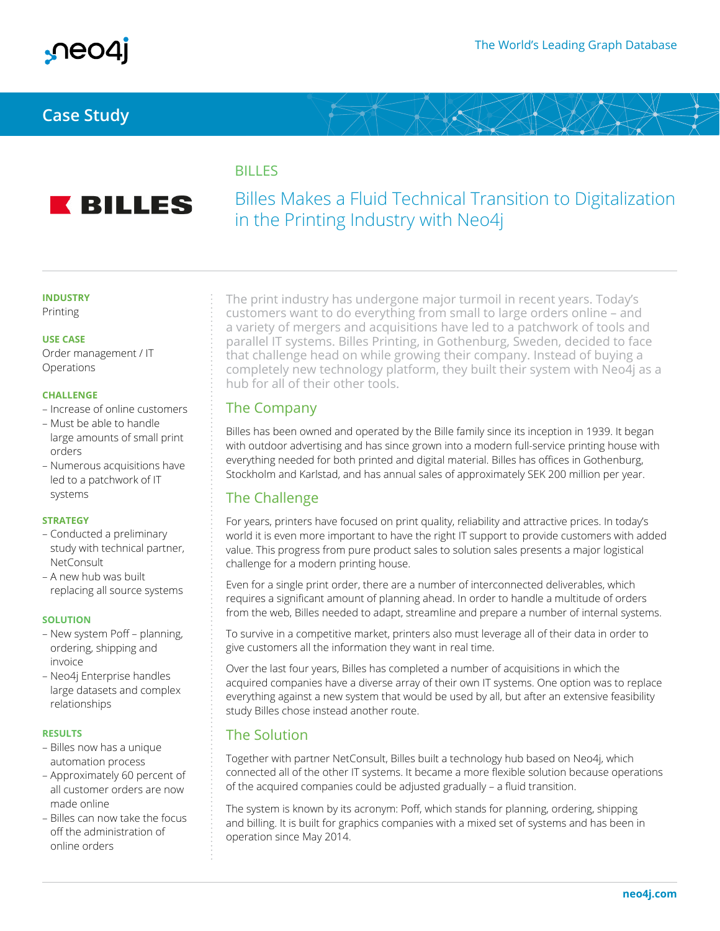

## **Case Study**

## **BILLES**



# Billes Makes a Fluid Technical Transition to Digitalization in the Printing Industry with Neo4j

### **INDUSTRY**

Printing

#### **USE CASE**

Order management / IT Operations

#### **CHALLENGE**

- Increase of online customers
- Must be able to handle large amounts of small print orders
- Numerous acquisitions have led to a patchwork of IT systems

#### **STRATEGY**

- Conducted a preliminary study with technical partner, NetConsult
- A new hub was built replacing all source systems

#### **SOLUTION**

- New system Poff planning, ordering, shipping and invoice
- Neo4j Enterprise handles large datasets and complex relationships

#### **RESULTS**

- Billes now has a unique automation process
- Approximately 60 percent of all customer orders are now made online
- Billes can now take the focus off the administration of online orders

The print industry has undergone major turmoil in recent years. Today's customers want to do everything from small to large orders online – and a variety of mergers and acquisitions have led to a patchwork of tools and parallel IT systems. Billes Printing, in Gothenburg, Sweden, decided to face that challenge head on while growing their company. Instead of buying a completely new technology platform, they built their system with Neo4j as a hub for all of their other tools.

### The Company

Billes has been owned and operated by the Bille family since its inception in 1939. It began with outdoor advertising and has since grown into a modern full-service printing house with everything needed for both printed and digital material. Billes has offices in Gothenburg, Stockholm and Karlstad, and has annual sales of approximately SEK 200 million per year.

## The Challenge

For years, printers have focused on print quality, reliability and attractive prices. In today's world it is even more important to have the right IT support to provide customers with added value. This progress from pure product sales to solution sales presents a major logistical challenge for a modern printing house.

Even for a single print order, there are a number of interconnected deliverables, which requires a significant amount of planning ahead. In order to handle a multitude of orders from the web, Billes needed to adapt, streamline and prepare a number of internal systems.

To survive in a competitive market, printers also must leverage all of their data in order to give customers all the information they want in real time.

Over the last four years, Billes has completed a number of acquisitions in which the acquired companies have a diverse array of their own IT systems. One option was to replace everything against a new system that would be used by all, but after an extensive feasibility study Billes chose instead another route.

### The Solution

Together with partner NetConsult, Billes built a technology hub based on Neo4j, which connected all of the other IT systems. It became a more flexible solution because operations of the acquired companies could be adjusted gradually – a fluid transition.

The system is known by its acronym: Poff, which stands for planning, ordering, shipping and billing. It is built for graphics companies with a mixed set of systems and has been in operation since May 2014.